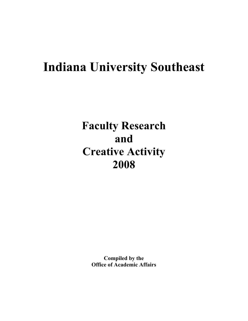# **Indiana University Southeast**

**Faculty Research and Creative Activity 2008**

> **Compiled by the Office of Academic Affairs**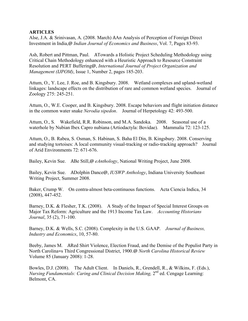### **ARTICLES**

Alse, J.A. & Srinivasan, A. (2008. March) AAn Analysis of Perception of Foreign Direct Investment in India,@ *Indian Journal of Economics and Business*, Vol. 7, Pages 83-93.

Ash, Robert and Pittman, Paul. ATowards a Holistic Project Scheduling Methodology using Critical Chain Methodology enhanced with a Heuristic Approach to Resource Constraint Resolution and PERT Buffering@, *International Journal of Project Organization and Management (IJPOM)*, Issue 1, Number 2, pages 185-203.

Attum, O., Y. Lee, J. Roe, and B. Kingsbury. 2008. Wetland complexes and upland-wetland linkages: landscape effects on the distribution of rare and common wetland species. Journal of Zoology 275: 245-251.

Attum, O., W.E. Cooper, and B. Kingsbury. 2008. Escape behaviors and flight initiation distance in the common water snake *Nerodia sipedon*. Journal of Herpetology 42: 493-500.

Attum, O., S. Wakefield, R.R. Robinson, and M.A. Sandoka. 2008. Seasonal use of a waterhole by Nubian Ibex Capro nubiana (Artiodactyla: Bovidae). Mammalia 72: 123-125.

Attum, O., B. Rabea, S. Osman, S. Habinan, S. Baha El Din, B. Kingsbury. 2008. Conserving and studying tortoises: A local community visual-tracking or radio-tracking approach? Journal of Arid Environments 72: 671-676.

Bailey, Kevin Sue. ABe Still,@ *eAnthology*, National Writing Project, June 2008.

Bailey, Kevin Sue. ADolphin Dance@, *IUSWP Anthology*, Indiana University Southeast Writing Project, Summer 2008.

Baker, Crump W. On contra-almost beta-continuous functions. Acta Ciencia Indica, 34 (2008), 447-452.

Barney, D.K. & Flesher, T.K. (2008). A Study of the Impact of Special Interest Groups on Major Tax Reform: Agriculture and the 1913 Income Tax Law. *Accounting Historians Journal*, 35 (2), 71-100.

Barney, D.K. & Wells, S.C. (2008). Complexity in the U.S. GAAP. *Journal of Business, Industry and Economics*, 10, 57-80.

Beeby, James M. ARed Shirt Violence, Election Fraud, and the Demise of the Populist Party in North Carolina=s Third Congressional District, 1900.@ *North Carolina Historical Review*  Volume 85 (January 2008): 1-28.

Bowles, D.J. (2008). The Adult Client. In Daniels, R., Grendell, R., & Wilkins, F. (Eds.), *Nursing Fundamentals: Caring and Clinical Decision Making, 2<sup>nd</sup> ed. Cengage Learning:* Belmont, CA.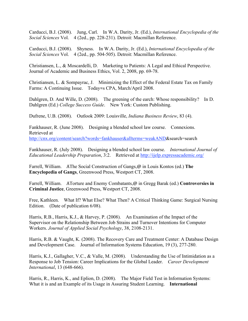Carducci, B.J. (2008). Jung, Carl. In W.A. Darity, Jr. (Ed.), *International Encyclopedia of the Social Sciences* Vol. 4 (2ed., pp. 228-231). Detroit: Macmillan Reference.

Carducci, B.J. (2008). Shyness. In W.A. Darity, Jr. (Ed.), *International Encyclopedia of the Social Sciences* Vol. 4 (2ed., pp. 504-505). Detroit: Macmillan Reference.

Christiansen, L., & Moscardelli, D. Marketing to Patients: A Legal and Ethical Perspective. Journal of Academic and Business Ethics, Vol. 2, 2008, pp. 69-78.

Christiansen, L. & Sompayrac, J. Minimizing the Effect of the Federal Estate Tax on Family Farms: A Continuing Issue. Today=s CPA, March/April 2008.

Dahlgren, D. And Wille, D. (2008). The greening of the earch: Whose responsibility? In D. Dahlgren (Ed.) *College Success Guide*. New York: Custom Publishing.

Dufrene, U.B. (2008). Outlook 2009: Louisville, *Indiana Business Review*, 83 (4).

Fankhauser, R. (June 2008). Designing a blended school law course. Connexions. Retrieved at http://cnx.org/content/search?words=fankhauser&allterms=weakAND&search=search

Fankhauser, R. (July 2008). Designing a blended school law course. *International Journal of Educational Leadership Preparation*, 3:2. Retrieved at http://ijelp.expressacademic.org/

Farrell, William. AThe Social Construction of Gangs,@ in Louis Kontos (ed.) **The Encyclopedia of Gangs**, Greenwood Press, Westport CT, 2008.

Farrell, William. ATorture and Enemy Combatants,@ in Gregg Barak (ed.) **Controversies in Criminal Justice**, Greenwood Press, Westport CT, 2008.

Free, Kathleen. What If? What Else? What Then? A Critical Thinking Game: Surgical Nursing Edition. (Date of publication 6/08).

Harris, R.B., Harris, K.J., & Harvey, P. (2008). An Examination of the Impact of the Supervisor on the Relationship Between Job Strains and Turnover Intentions for Computer Workers. *Journal of Applied Social Psychology*, 38, 2108-2131.

Harris, R.B. & Vaught, K. (2008). The Recovery Care and Treatment Center: A Database Design and Development Case. Journal of Information Systems Education, 19 (3), 277-280.

Harris, K.J., Gallagher, V.C., & Valle, M. (2008). Understanding the Use of Intimidation as a Response to Job Tension: Career Implications for the Global Leader. *Career Development International*, 13 (648-666).

Harris, R., Harris, K., and Eplion, D. (2008). The Major Field Test in Information Systems: What it is and an Example of its Usage in Assuring Student Learning. **International**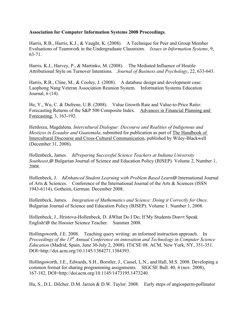### **Association for Computer Information Systems 2008 Proceedings**.

Harris, R.B., Harris, K.J., & Vaught, K. (2008). A Technique for Peer and Group Member Evaluations of Teamwork in the Undergraduate Classroom. *Issues in Information Systems*, 9, 63-71.

Harris, K.J., Harvey, P., & Martinko, M. (2008). The Mediated Influence of Hostile Attributional Style on Turnover Intentions*. Journal of Business and Psychology*, 22, 633-643.

Harris, R.B., Cline, M., & Cooley, J. (2008). A database design and development case: Laophong Nang Veteran Association Reunion System. Information Systems Education Journal, 6 (14).

He, Y., Wu, C. & Dufrene, U.B. (2008). Value Growth Rate and Value-to-Price Ratio: Forecasting Returns of the S&P 500 Composite Index. Advances in Financial Planning and Forecasting, 3, 163-192.

Herdoiza, Magdalena. *Intercultural Dialogue: Discourse and Realities of Indigenous and Mestizos in Ecuador and Guatemala*, submitted for publication as part of The Handbook of Intercultural Discourse and Cross-Cultural Communication, published by Wiley-Blackwell (December 31, 2008).

Hollenbeck, James. A*Preparing Successful Science Teachers at Indiana University Southeast*,@ Bulgarian Journal of Science and Education Policy (BJSEP). Volume 2, Number 1, 2008.

Hollenbeck, J. A*Enhanced Student Learning with Problem Based Learn*@ International Journal of Arts & Sciences. Conference of the International Journal of the Arts & Sciences (ISSN 1943-6114), Gotheim, German. December 2008.

Hollenbeck, James. *Integration of Mathematics and Science: Doing it Correctly for Once*. Bulgarian Journal of Science and Education Policy (BJSEP). Volume 1. Number 1, 2008.

Hollenbeck, J., Hristova-Hollenbeck, D. AWhat Do I Do; If My Students Don=t Speak English!@ the Hoosier Science Teacher. Summer 2008.

Hollingsworth, J.E. 2008. Teaching query writing: an informed instruction approach. In *Proceedings of the 13th Annual Conference on innovation and Technology in Computer Science Education* (Madrid, Spain, June 30-July 2, 2008). ITiCSE 08. ACM, New York, NY, 351-351. DOI=http://doi.acm.org/10.1145/1384271.1384393.

Hollingsworth, J.E., Edwards, S.H., Borstler, J., Cassel, L.N., and Hall, M.S. 2008. Developing a common format for sharing programming assignments. SIGCSE Bull. 40, 4 (nov. 2008), 167-182. DOI=http://doi.acm.org/10.1145/1473195.1473240.

Hu, S., D.L. Dilcher, D.M. Jarzen & D.W. Taylor. 2008. Early steps of angiosperm-pollinator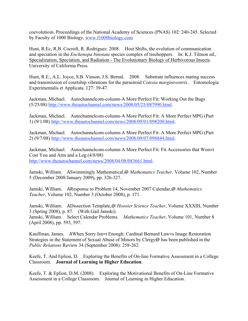coevolutioin. Proceedings of the National Academy of Sciences (PNAS) 102: 240-245. Selected by Faculty of 1000 Biology, www.f1000biology.com

Hunt, R.Ec, R.B. Cocroft, R. Rodriguez. 2008. Host Shifts, the evolution of communication and speciation in the *Enchenopa binotata* species complex of treehoppers. In: K.J. Tilmon ed., Specialization, Speciation, and Radiation - The Evolutionary Biology of Herbivorous Insects. University of California Press.

Hunt, R.E., A.L. Joyce, S.B. Vinson, J.S. Bernal. 2008. Substrate influences mating success and transmission of courtship vibrations for the parasitoid *Cotesia marginiventris*. Entomologia Experimentalis et Applicata. 127: 39-47.

Jackman, Michael. Autochannelcom-column-A More Perfect Fit: Working Out the Bugs (5/25/08) http://www.theautochannel.com/news/2008/05/25/087990.html.

Jackman, Michael. Autochannelcom-column-A More Perfect Fit: A More Perfect MPG (Part 1) (9/1/08) http://www.theautochannel.com/news/2008/09/01/098200.html.

Jackman, Michael. Autochannelcom-column-A More Perfect Fit: A More Perfect MPG (Part 2) (9/7/08) http://www.theautochannel.com/news/2008/09/07/098844.html.

Jackman, Michael. Autochannelcom-column-A More Perfect Fit: Fit Accessories that Won=t Cost You and Arm and a Leg (4/8/08) http://www.theautochannel.com/news/2008/04/08/083661.html.

Jamski, William. ASwimmingly Mathematical,@ *Mathematics Teacher,* Volume 102, Number 5 (December 2008/January 2009), pp. 326-327.

Jamski, William. AResponse to Problem 14, November 2007 Calendar,@ *Mathematics Teacher*, Volume 102, Number 3 (October 2008), p. 171.

Jamski, William. ADissection Template,@ *Hoosier Science Teacher*, Volume XXXIII, Number 3 (Spring 2008), p. 87. (With Gail Jamski). Jamski, William. Select Calendar Problems. *Mathematics Teacher*, Volume 101, Number 8 (April 2008), pp. 593, 597.

Kauffman, James. AWhen Sorry Isn=t Enough: Cardinal Bernard Law=s Image Restoration Strategies in the Statement of Sexual Abuse of Minors by Clergy@ has been published in the *Public Relations* Review 34 (September 2008): 258-262.

Keefe, T. And Eplion, D. Exploring the Benefits of On-line Formative Assessment in a College Classroom. **Journal of Learning in Higher Education**.

Keefe, T. & Eplion, D.M. (2008). Exploring the Motivational Benefits of On-Line Formative Assessment in a College Classroom. Journal of Learning in Higher Education.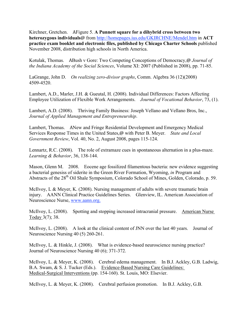Kirchner, Gretchen. AFigure 5. **A Punnett square for a dihybrid cross between two heterozygous individuals**@ from http://homepages.ius.edu/GKIRCHNE/Mendel.htm in **ACT practice exam booklet and electronic files, published by Chicago Charter Schools** published November 2008, distribution high schools in North America.

Kotulak, Thomas. ABush v Gore: Two Competing Conceptions of Democracy,@ *Journal of the Indiana Academy of the Social Sciences*, Volume XI: 2007 (Published in 2008), pp. 71-85.

LaGrange, John D. *On realizing zero-divisor graphs*, Comm. Algebra 36 (12)(2008) 4509-4520.

Lambert, A.D., Marler, J.H. & Gueutal, H. (2008). Individual Differences: Factors Affecting Employee Utilization of Flexible Work Arrangements. *Journal of Vocational Behavior*, 73, (1).

Lambert, A.D. (2008). Thriving Family Business: Joseph Vellano and Vellano Bros, Inc., *Journal of Applied Management and Entrepreneurship*.

Lambert, Thomas. ANew and Fringe Residential Development and Emergency Medical Services Response Times in the United States,@ with Peter B. Meyer. *State and Local Government Review*, Vol. 40, No. 2, August 2008, pages 115-124.

Lennartz, R.C. (2008). The role of extramaze cues in spontaneous alternation in a plus-maze. *Learning & Behavior*, 36, 138-144.

Mason, Glenn M. 2008. Eocene age fossilized filamentous bacteria: new evidence suggesting a bacterial genesiss of siderite in the Green River Formation, Wyoming, *in* Program and Abstracts of the 28<sup>th</sup> Oil Shale Symposium, Colorado School of Mines, Golden, Colorado, p. 59.

McIlvoy, L & Meyer, K. (2008). Nursing management of adults with severe traumatic brain injury. AANN Clinical Practice Guidelines Series. Glenview, IL. American Association of Neuroscience Nurse, www.aann.org.

McIlvoy, L. (2008). Spotting and stopping increased intracranial pressure. American Nurse Today 3(7); 38.

McIlvoy, L. (2008). A look at the clinical content of JNN over the last 40 years. Journal of Neuroscience Nursing 40 (5) 260-261.

McIlvoy, L. & Hinkle, J. (2008). What is evidence-based neuroscience nursing practice? Journal of Neuroscience Nursing 40 (6); 371-372.

McIlvoy, L. & Meyer, K. (2008). Cerebral edema management. In B.J. Ackley, G.B. Ladwig, B.A. Swam, & S. J. Tucker (Eds.). Evidence-Based Nursing Care Guidelines: Medical-Surgical Interventions (pp. 154-160). St. Louis, MO: Elsevier.

McIlvoy, L. & Meyer, K. (2008). Cerebral perfusion promotion. In B.J. Ackley, G.B.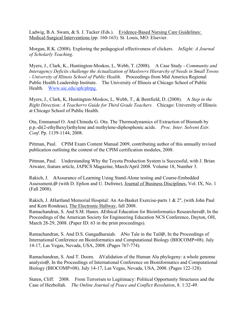Ladwig, B.A. Swam, & S. J. Tucker (Eds.). Evidence-Based Nursing Care Guidelines: Medical-Surgical Interventions (pp. 160-163). St. Louis, MO: Elsevier.

Morgan, R.K. (2008). Exploring the pedagogical effectiveness of clickers. *InSight: A Journal of Scholarly Teaching*.

Myers, J., Clark, K., Huntington-Moskos, L, Webb, T. (2008). A Case Study - *Community and Interagency Deficits challenge the Actualization of Maslow=s Hierarchy of Needs in Small Towns - University of Illinois School of Public Health*. Proceedings from Mid America Regional Public Health Leadership Institute. The University of Illinois at Chicago School of Public Health. Www.uic.edu/sph/phtpg.

Myers, J., Clark, K, Huntington-Moskos, L, Webb, T., & Bentfield, D. (2008). A *Step in the Right Direction: A Teacher=s Guide for Third Grade Teachers.* Chicago: University of Illinois at Chicago School of Public Health.

Otu, Emmanuel O. And Chinedu G. Otu. The Thermodynamics of Extraction of Bismuth by p.p.-di(2-ethylhexyl)ethylene and methylene-diphosphonic acids. *Proc. Inter. Solvent Extr. Conf*. Pp. 1139-1144, 2008.

Pittman, Paul. CPIM Exam Content Manual 2009, contributing author of this annually revised publication outlining the content of the CPIM certification modules, 2008.

Pittman, Paul. Understanding Why the Toyota Production System is Successful, with J. Brian Atwater, feature article, JAPICS Magazine, March/April 2008. Volume 18, Number 3.

Rakich, J. AAssurance of Learning Using Stand-Alone testing and Course-Embedded Assessment,@ (with D. Eplion and U. Dufrene), Journal of Business Disciplines, Vol. IX, No. 1 (Fall 2008).

Rakich, J. AHartland Memorial Hospital: An An-Basket Exercise-parts 1 & 2", (with John Paul and Kent Rondeau), The Electronic Hallway, fall 2008.

Ramachandran, S. And S.M. Hanes. AEthical Education for Bioinformatics Researchers@, In the Proceedings of the American Society for Engineering Education NCS Conference, Dayton, OH, March 28-29, 2008. (Paper ID: 63 in the print proceedings).

Ramachandran, S. And D.S. Gangadharaiah. ANo Tale in the Tail@, In the Proceedings of International Conference on Bioinformatics and Computational Biology (BIOCOMP=08). July 14-17, Las Vegas, Nevada, USA, 2008. (Pages 767-774).

Ramachandran, S. And T. Doom. AValidation of the Human Alu phylogeny: a whole genome analysis@, In the Proceedings of International Conference on Bioinformatics and Computational Biology (BIOCOMP=08). July 14-17, Las Vegas, Nevada, USA, 2008. (Pages 122-128).

Staten, Cliff. 2008. From Terrorism to Legitimacy: Political Opportunity Structures and the Case of Hezbollah. *The Online Journal of Peace and Conflict Resolution*, 8. 1:32-49.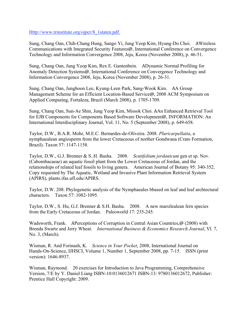Http://www.trinstitute.org/ojpcr/8\_1staten.pdf.

Sung, Chang Oan, Chih-Chang Hung, Sango Yi, Jung Yeop Kim, Hyung-Do Choi. AWireless Communications with Integrated Security Features@, International Conference on Convergence Technology and Information Convergence 2008, Jeju, Korea (November 2008), p. 46-51.

Sung, Chang Oan, Jung Yeop Kim, Rex E. Gantenbein. ADynamic Normal Profiling for Anomaly Detection Systems@, International Conference on Convergence Technology and Information Convergence 2008, Jeju, Korea (November 2008), p. 26-31.

Sung, Chang Oan, Junghoon Lee, Kyung-Leen Park, Sang-Wook Kim. AA Group Management Scheme for an Efficient Location-Based Service@, 2008 ACM Symposium on Applied Computing, Fortaleza, Brazil (March 2008), p. 1705-1709.

Sung, Chang Oan, Sun-Ae Shin, Jung Yeop Kim, Missok Choi. AAn Enhanced Retrieval Tool for EJB Components for Components Based Software Development@, INFORMATION: An International Interdisciplinary Journal, Vol. 11, No. 5 (September 2008), p. 649-658.

Taylor, D.W., B.A.R. Mohr, M.E.C. Bernardes-de-Oliveira. 2008. *Pluricarpellatia*, a nymphaealean angiosperm from the lower Cretaceous of norther Gondwana (Crato Formation, Brazil). Taxon 57: 1147-1158.

Taylor, D.W., G.J. Brenner & S..H. Basha. 2008. *Scutifolium jordanicum* gen et sp. Nov. (Cabombacaeae) an aquatic fossil plant from the Lower Cretaceous of Jordan, and the relationships of related leaf fossils to living genera. American Journal of Botany 95: 340-352. Copy requested by The Aquatic, Wetland and Invasive Plant Information Retrieval System (APIRS), plants.ifas.ufl.edu/APIRS.

Taylor, D.W. 208. Phylogenetic analysis of the Nymphaeales bbased on leaf and leaf archtectural characters. Taxon 57: 1082-1095.

Taylor, D.W., S. Hu, G.J. Brenner & S.H. Basha. 2008. A new marsilealean fern species from the Early Cretaceous of Jordan. Paleoworld 17: 235-245.

Wadsworth, Frank. APerceptions of Corruption in Central Asian Countries,@ (2008) with Brenda Swartz and Jerry Wheat. *International Business & Economics Research Journal*, Vl. 7, No. 3, (March).

Wisman, R. And Forinash, K. *Science in Your Pocket*, 2008, International Journal on Hands-On-Science, IJHSCI, Volume 1, Number 1, September 2008, pp. 7-15. ISSN (print version): 1646-8937.

Wisman, Raymond. 20 exercises for Introduction to Java Programming, Comprehensive Version, 7/E by Y. Daniel Liang ISBN-10:0136012671 ISBN-13: 9780136012672, Publisher: Prentice Hall Copyright: 2009.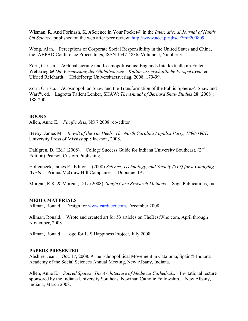Wisman, R. And Forinash, K. AScience in Your Pocket@ in the *International Journal of Hands On Science*, published on the web after peer review: http://www.aect.pt/ijhsci/?m=200809.

Wong, Alan. Perceptions of Corporate Social Responsibility in the United States and China, the IABPAD Conference Proceedings, ISSN 1547-4836, Volume 5, Number 3.

Zorn, Christa. AGlobalisierung und Kosmopolitismus: Englands Intellektuelle im Ersten Weltkrieg,@ *Die Vermessung der Globalisierung: Kulturwissenschaftliche Perspektiven*, ed. Ulfried Reichardt. Heidelberg: Universitaetsverlag, 2008, 179-99.

Zorn, Christa. ACosmopolitan Shaw and the Transformation of the Public Sphere.@ Shaw and War@, ed. Lagretta Tallent Lenker, SHAW: *The Annual of Bernard Shaw Studies* 28 (2008): 188-200.

#### **BOOKS**

Allen, Anne E. *Pacific Arts*, NS 7 2008 (co-editor).

Beeby, James M. *Revolt of the Tar Heels: The North Carolina Populist Party, 1890-1901*. University Press of Mississippi: Jackson, 2008.

Dahlgren, D. (Ed.) (2008). College Success Guide for Indiana University Southeast. (2<sup>nd</sup> Edition) Pearson Custom Publishing.

Hollenbeck, James E., Editor. (2008) *Science, Technology, and Society (STS) for a Changing World*. Primus McGraw Hill Companies. Dubuque, IA.

Morgan, R.K. & Morgan, D.L. (2008). *Single Case Research Methods*. Sage Publications, Inc.

#### **MEDIA MATERIALS**

Allman, Ronald. Design for www.carducci.com, December 2008.

Allman, Ronald. Wrote and created art for 53 articles on TheBestWho.com, April through November, 2008.

Allman, Ronald. Logo for IUS Happiness Project, July 2008.

#### **PAPERS PRESENTED**

Abshire, Jean. Oct. 17, 2008. AThe Ethnopolitical Movement in Catalonia, Spain@ Indiana Academy of the Social Sciences Annual Meeting, New Albany, Indiana.

Allen, Anne E. *Sacred Spaces: The Architecture of Medieval Cathedrals.* Invitational lecture sponsored by the Indiana University Southeast Newman Catholic Fellowship. New Albany, Indiana, March 2008.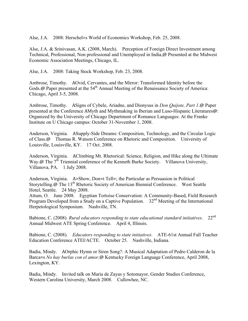Alse, J.A. 2008: Herschel=s World of Economics Workshop, Feb. 25, 2008.

Alse, J.A. & Srinivasan, A.K. (2008, March). Perception of Foreign Direct Investment among Technical, Professional, Non professional and Unemployed in India,@ Presented at the Midwest Economic Association Meetings, Chicago, IL.

Alse, J.A. 2008: Taking Stock Workshop, Feb. 23, 2008.

Ambrose, Timothy. AOvid, Cervantes, and the Mirror: Transformed Identity before the Gods.@ Paper presented at the 54<sup>th</sup> Annual Meeting of the Renaissance Society of America: Chicago, April 3-5, 2008.

Ambrose, Timothy. ASigns of Cybele, Ariadne, and Dionysus in *Don Quijote, Part 1*.@ Paper presented at the Conference AMyth and Mythmaking in Iberian and Luso-Hispanic Literatures@: Organized by the University of Chicago Department of Romance Languages: At the Franke Institute on U Chicago campus: October 31-November 1, 2008.

Anderson, Virginia. ASupply-Side Dreams: Composition, Technology, and the Circular Logic of Class.@ Thomas R. Watson Conference on Rhetoric and Composition. University of Louisville, Louisville, KY. 17 Oct. 2008.

Anderson, Virginia. AClimbing Mt. Rhetorical: Science, Religion, and Hike along the Ultimate Way.@ The 7<sup>th</sup> Triennial conference of the Kenneth Burke Society. Villanova University, Villanova, PA. 1 July 2008.

Anderson, Virginia. A>Show, Don=t Tell=; the Particular as Persuasion in Political Storytelling.@ The 13<sup>th</sup> Rhetoric Society of American Biennial Conference. West Seattle Hotel, Seattle. 24 May 2008.

Attum, O. June 2008. Egyptian Tortoise Conservation: A Community-Based, Field Research Program Developed from a Study on a Captive Population. 32<sup>nd</sup> Meeting of the International Herpetological Symposium. Nashville, TN.

Babione, C. (2008). *Rural educators responding to state educational standard initiatives*. 22nd Annual Midwest ATE Spring Conference. April 4, Illinois.

Babione, C. (2008). *Educators responding to state initiatives*. ATE-61st Annual Fall Teacher Education Conference ATEI/ACTE. October 25. Nashville, Indiana.

Badia, Mindy. AOrphic Hymn or Siren Song?: A Musical Adaptation of Pedro Calderon de la Barca=s *No hay burlas con el amor*.@ Kentucky Foreign Language Conference, April 2008, Lexington, KY.

Badia, Mindy. Invited talk on Maria de Zayas y Sotomayor, Gender Studies Conference, Western Carolina University, March 2008. Cullowhee, NC.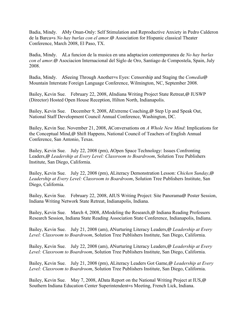Badia, Mindy. AMy Onan-Only: Self Stimulation and Reproductive Anxiety in Pedro Calderon de la Barca=s *No hay burlas con el amor.*@ Association for Hispanic classical Theater Conference, March 2008, El Paso, TX.

Badia, Mindy. ALa funcion de la musica en una adaptacion contemporanea de *No hay burlas con el amor*.@ Asociacion Internacional del Siglo de Oro, Santiago de Compostela, Spain, July 2008.

Badia, Mindy. ASeeing Through Another=s Eyes: Censorship and Staging the *Comedia*@ Mountain Interstate Foreign Language Conference, Wilmington, NC, September 2008.

Bailey, Kevin Sue. February 22, 2008, AIndiana Writing Project State Retreat,@ IUSWP (Director) Hosted Open House Reception, Hilton North, Indianapolis.

Bailey, Kevin Sue. December 9, 2008, AExtreme Coaching,@ Step Up and Speak Out, National Staff Development Council Annual Conference, Washington, DC.

Bailey, Kevin Sue. November 21, 2008, AConversations on *A Whole New Mind*: Implications for the Conceptual Mind,@ Shift Happens, National Council of Teachers of English Annual Conference, San Antonio, Texas.

Bailey, Kevin Sue. July 22, 2008 (pm), AOpen Space Technology: Issues Confronting Leaders,@ *Leadership at Every Level: Classroom to Boardroom*, Solution Tree Publishers Institute, San Diego, California.

Bailey, Kevin Sue. July 22, 2008 (pm), ALiteracy Demonstration Lesson: *Chicken Sunday*,@ *Leadership at Every Level: Classroom to Boardroom*, Solution Tree Publishers Institute, San Diego, California.

Bailey, Kevin Sue. February 22, 2008, AIUS Writing Project: Site Panorama@ Poster Session, Indiana Writing Network State Retreat, Indianapolis, Indiana.

Bailey, Kevin Sue. March 4, 2008, AModeling the Research,@ Indiana Reading Professors Research Session, Indiana State Reading Association State Conference, Indianapolis, Indiana.

Bailey, Kevin Sue. July 21, 2008 (am), ANurturing Literacy Leaders,@ *Leadership at Every Level: Classroom to Boardroom*, Solution Tree Publishers Institute, San Diego, California.

Bailey, Kevin Sue. July 22, 2008 (am), ANurturing Literacy Leaders,@ *Leadership at Every Level: Classroom to Boardroom*, Solution Tree Publishers Institute, San Diego, California.

Bailey, Kevin Sue. July 21, 2008 (pm), ALiteracy Leaders Got Game,@ *Leadership at Every Level: Classroom to Boardroom*, Solution Tree Publishers Institute, San Diego, California.

Bailey, Kevin Sue. May 7, 2008, AData Report on the National Writing Project at IUS,@ Southern Indiana Education Center Superintendent=s Meeting, French Lick, Indiana.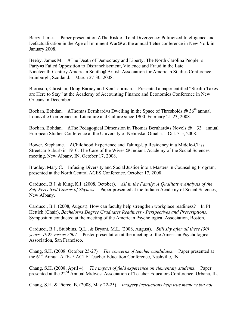Barry, James. Paper presentation AThe Risk of Total Divergence: Politicized Intelligence and Defactualization in the Age of Imminent War@ at the annual **Telos** conference in New York in January 2008.

Beeby, James M. AThe Death of Democracy and Liberty: The North Carolina People=s Party=s Failed Opposition to Disfranchisement, Violence and Fraud in the Late Nineteenth-Century American South.@ British Association for American Studies Conference, Edinburgh, Scotland. March 27-30, 2008.

Bjornson, Christian, Doug Barney and Ken Taurman. Presented a paper entitled "Stealth Taxes are Here to Stay" at the Academy of Accounting Finance and Economics Conference in New Orleans in December.

Bochan, Bohdan. AThomas Bernhard=s Dwelling in the Space of Thresholds. $\omega$  36<sup>th</sup> annual Louisville Conference on Literature and Culture since 1900. February 21-23, 2008.

Bochan, Bohdan. AThe Pedagogical Dimension in Thomas Bernhard=s Novels. $\omega$  33<sup>rd</sup> annual European Studies Conference at the University of Nebraska, Omaha. Oct. 3-5, 2008.

Bower, Stephanie. AChildhood Experience and Taking-Up Residency in a Middle-Class Streetcar Suburb in 1910: The Case of the Wives,@ Indiana Academy of the Social Sciences meeting, New Albany, IN, October 17, 2008.

Bradley, Mary C. Infusing Diversity and Social Justice into a Masters in Counseling Program, presented at the North Central ACES Conference, October 17, 2008.

Carducci, B.J. & King, K.I. (2008, October). *All in the Family: A Qualitative Analysis of the Self-Perceived Causes of Shyness*. Paper presented at the Indiana Academy of Social Sciences, New Albany.

Carducci, B.J. (2008, August). How can faculty help strengthen workplace readiness? In PI Hettich (Chair), *Bachelor=s Degree Graduates Readiness - Perspectives and Prescriptions*. Symposium conducted at the meeting of the American Psychological Association, Boston.

Carducci, B.J., Stubbins, Q.L., & Bryant, M.L. (2008, August). *Still shy after all these (30) years: 1997 versus 2007.* Poster presentation at the meeting of the American Psychological Association, San Francisco.

Chang, S.H. (2008. October 25-27)*. The concerns of teacher candidates*. Paper presented at the 61<sup>st</sup> Annual ATE-I/IACTE Teacher Education Conference, Nashville, IN.

Chang, S.H. (2008, April 4). *The impact of field experience on elementary students*. Paper presented at the 22<sup>nd</sup> Annual Midwest Association of Teacher Educators Conference, Urbana, IL.

Chang, S.H. & Pierce, B. (2008, May 22-25). *Imagery instructions help true memory but not*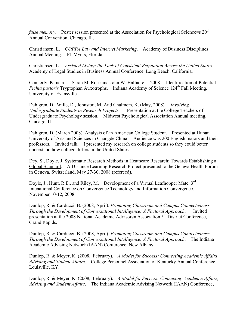*false memory.* Poster session presented at the Association for Psychological Science=s 20<sup>th</sup> Annual Convention, Chicago, IL.

Christiansen, L. *COPPA Law and Internet Marketing*. Academy of Business Disciplines Annual Meeting. Ft. Myers, Florida.

Christiansen, L. *Assisted Living: the Lack of Consistent Regulation Across the United States*. Academy of Legal Studies in Business Annual Conference, Long Beach, California.

Connerly, Pamela L., Sarah M. Rose and John W. Halfacre. 2008. Identification of Potential *Pichia pastoris* Tryptophan Auxotrophs. Indiana Academy of Science 124<sup>th</sup> Fall Meeting. University of Evansville.

Dahlgren, D., Wille, D., Johnston, M. And Chalmers, K. (May, 2008). *Involving Undergraduate Students in Research Projects*. Presentation at the College Teachers of Undergraduate Psychology session. Midwest Psychological Association Annual meeting, Chicago, IL.

Dahlgren, D. (March 2008). Analysis of an American College Student. Presented at Hunan University of Arts and Sciences in Changde China. Audience was 200 English majors and their professors. Invited talk. I presented my research on college students so they could better understand how college differs in the United States.

Dey, S., Doyle, J. Systematic Research Methods in Heathcare Research: Towards Establishing a Global Standard. A Distance Learning Research Project presented to the Geneva Health Forum in Geneva, Switzerland, May 27-30, 2008 (refereed).

Doyle, J., Hunt, R.E., and Riley, M. Development of a Virtual Leafhopper Mate. 3<sup>rd</sup> Intenational Conference on Convergence Technology and Information Convergence. November 10-12, 2008.

Dunlop, R. & Carducci, B. (2008, April). *Promoting Classroom and Campus Connectedness Through the Development of Conversational Intelligence: A Factoral Approach*. Invited presentation at the 2008 National Academic Advisors= Association 5<sup>th</sup> District Conference, Grand Rapids.

Dunlop, R. & Carducci, B. (2008, April). *Promoting Classroom and Campus Connectedness Through the Development of Conversational Intelligence: A Factoral Approach*. The Indiana Academic Advising Network (IAAN) Conference, New Albany.

Dunlop, R. & Meyer, K. (2008,. February). *A Model for Success: Connecting Academic Affairs, Advising and Student Affairs*. College Personnel Association of Kentucky Annual Conference, Louisville, KY.

Dunlop, R. & Meyer, K. (2008,. February). *A Model for Success: Connecting Academic Affairs, Advising and Student Affairs*. The Indiana Academic Advising Network (IAAN) Conference,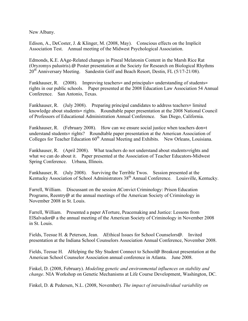New Albany.

Edison, A., DeCoster, J. & Klinger, M. (2008, May). Conscious effects on the Implicit Association Test. Annual meeting of the Midwest Psychological Association.

Edmonds, K.E. AAge-Related changes in Pineal Melatonin Content in the Marsh Rice Rat (Oryzomys palustris).@ Poster presentation at the Society for Research on Biological Rhythms 20<sup>th</sup> Anniversary Meeting. Sandestin Golf and Beach Resort, Destin, FL (5/17-21/08).

Fankhauser, R. (2008). Improving teachers= and principals= understanding of students= rights in our public schools. Paper presented at the 2008 Education Law Association 54 Annual Conference. San Antonio, Texas.

Fankhauser, R. (July 2008). Preparing principal candidates to address teachers= limited knowledge about students= rights. Roundtable paper presentation at the 2008 National Council of Professors of Educational Administration Annual Conference. San Diego, California.

Fankhauser, R. (February 2008). How can we ensure social justice when teachers don=t understand students= rights? Roundtable paper presentation at the American Association of Colleges for Teacher Education 60<sup>th</sup> Annual Meeting and Exhibits. New Orleans, Louisiana.

Fankhauser, R. (April 2008). What teachers do not understand about students=rights and what we can do about it. Paper presented at the Association of Teacher Educators-Midwest Spring Conference. Urbana, Illinois.

Fankhauser, R. (July 2008). Surviving the Terrible Twos. Session presented at the Kentucky Association of School Administrators  $38<sup>th</sup>$  Annual Conference. Louisville, Kentucky.

Farrell, William. Discussant on the session AConvict Criminology: Prison Education Programs, Reentry@ at the annual meetings of the American Society of Criminology in November 2008 in St. Louis.

Farrell, William. Presented a paper ATorture, Peacemaking and Justice: Lessons from ElSalvador@ a the annual meeting of the American Society of Criminology in November 2008 in St. Louis.

Fields, Teesue H. & Peterson, Jean. AEthical Issues for School Counselors@. Invited presentation at the Indiana School Counselors Association Annual Conference, November 2008.

Fields, Teesue H. AHelping the Shy Student Connect to School@ Breakout presentation at the American School Counselor Association annual conference in Atlanta. June 2008.

Finkel, D. (2008, February). *Modeling genetic and environmental influences on stability and change*. NIA Workshop on Genetic Mechanisms at Life Course Development, Washington, DC.

Finkel, D. & Pedersen, N.L. (2008, November). *The impact of intraindividual variability on*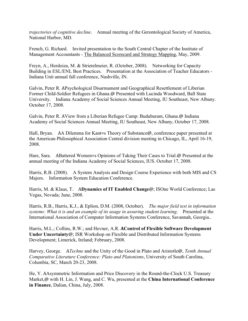*trajectories of cognitive decline*. Annual meeting of the Gerontological Society of America, National Harbor, MD.

French, G. Richard. Invited presentation to the South Central Chapter of the Institute of Management Accountants - The Balanced Scorecard and Strategy Mapping, May, 2009.

Freyn, A., Herdoiza, M. & Strietelmeier, R. (October, 2008). Networking for Capacity Building in ESL/ENL Best Practices. Presentation at the Association of Teacher Educators - Indiana Unit annual fall conference, Nashville, IN.

Galvin, Peter R. APsychological Disarmament and Geographical Resettlement of Liberian Former Child-Soldier Refugees in Ghana.@ Presented with Lucinda Woodward, Ball State University. Indiana Academy of Social Sciences Annual Meeting, IU Southeast, New Albany. October 17, 2008.

Galvin, Peter R. AView from a Liberian Refugee Camp: Buduburam, Ghana.@ Indiana Academy of Social Sciences Annual Meeting, IU Southeast, New Albany, October 17, 2008.

Hall, Bryan. AA Dilemma for Kant=s Theory of Substance@, conference paper presented at the American Philosophical Association Central division meeting in Chicago, IL, April 16-19, 2008.

Hare, Sara. ABattered Women=s Opinions of Taking Their Cases to Trial.@ Presented at the annual meeting of the Indiana Academy of Social Sciences, IUS. October 17, 2008.

Harris, R.B. (2008). A System Analysis and Design Course Experience with both MIS and CS Majors. Information System Education Conference.

Harris, M. & Klaus, T. A**Dynamics of IT Enabled Change**@; ISOne World Conference; Las Vegas, Nevada; June, 2008.

Harris, R.B., Harris, K.J., & Eplion, D.M. (2008, October). *The major field test in information systems: What it is and an example of its usage in assuring student learning*. Presented at the International Association of Computer Information Systems Conference, Savannah, Georgia..

Harris, M.L.; Collins, R.W.; and Hevner, A.R. **AControl of Flexible Software Development Under Uncertainty**@; ISR Workshop on Flexible and Distributed Information Systems Development; Limerick, Ireland; February, 2008.

Harvey, George. A*Techne* and the Unity of the Good in Plato and Aristotle@, *Tenth Annual Comparative Literature Conference: Plato and Platonisms*, University of South Carolina, Columbia, SC, March 20-23, 2008.

He, Y. AAsymmetric Information and Price Discovery in the Round-the-Clock U.S. Treasury Market,@ with H. Lin, J. Wang, and C. Wu, presented at the **China International Conference in Finance**, Dalian, China, July, 2008.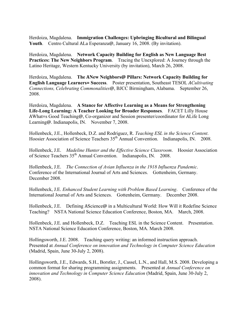Herdoiza, Magdalena. **Immigration Challenges: Upbringing Bicultural and Bilingual Youth**. Centro Cultural ALa Esperanza@, January 16, 2008. (By invitation).

Herdoiza, Magdalena. **Network Capacity Building for English as New Language Best Practices: The New Neighbors Program**. Tracing the Unexplored: A Journey through the Latino Heritage, Western Kentucky University (by invitation), March 26, 2008.

Herdoiza, Magdalena. **The ANew Neighbors@ Pillars: Network Capacity Building for English Language Learners= Success**. Poster presentation, Southeast TESOL *ACultivating Connections, Celebrating Commonalities@*, BJCC Birmingham, Alabama. September 26, 2008.

Herdoiza, Magdalena. **A Stance for Affective Learning as a Means for Strengthening Life-Long Learning: A Teacher Looking for Broader Responses**. FACET Lilly House AWhat=s Good Teaching@, Co-organizer and Session presenter/coordinator for ALife Long Learning@. Indianapolis, IN. November 7, 2008.

Hollenbeck, J.E., Hollenbeck, D.Z. and Rodriguez, R. *Teaching ESL in the Science Content*. Hoosier Association of Science Teachers 35<sup>th</sup> Annual Convention. Indianapolis, IN. 2008.

Hollenbeck, J.E. *Madeline Hunter and the Effective Science Classroom*. Hoosier Association of Science Teachers 35th Annual Convention. Indianapolis, IN. 2008.

Hollenbeck, J.E. *The Connection of Avian Influenza in the 1918 Influenza Pandemic*. Conference of the International Journal of Arts and Sciences. Gottenheim, Germany. December 2008.

Hollenbeck, J.E. *Enhanced Student Learning with Problem Based Learning*. Conference of the International Journal of Arts and Sciences. Gottenheim, Germany. December 2008.

Hollenbeck, J.E. Defining AScience@ in a Multicultural World: How Will it Redefine Science Teaching? NSTA National Science Education Conference, Boston, MA. March, 2008.

Hollenbeck, J.E. and Hollenbeck, D.Z. Teaching ESL in the Science Content. Presentation. NSTA National Science Education Conference, Boston, MA. March 2008.

Hollingsworth, J.E. 2008. Teaching query writing: an informed instruction approach. Presented at *Annual Conference on innovation and Technology in Computer Science Education*  (Madrid, Spain, June 30-July 2, 2008).

Hollingsworth, J.E., Edwards, S.H., Borstler, J., Cassel, L.N., and Hall, M.S. 2008. Developing a common format for sharing programming assignments. Presented at *Annual Conference on innovation and Technology in Computer Science Education* (Madrid, Spain, June 30-July 2, 2008).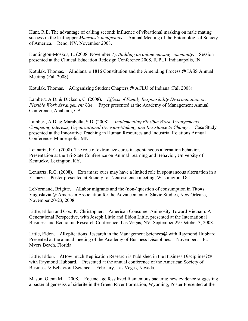Hunt, R.E. The advantage of calling second: Influence of vibrational masking on male mating success in the leafhopper *Macropsis fumipennis*. Annual Meeting of the Entomological Society of America. Reno, NV. November 2008.

Huntington-Moskos, L. (2008, November 7). *Building an online nursing community*. Session presented at the Clinical Education Redesign Conference 2008, IUPUI, Indianapolis, IN.

Kotulak, Thomas. AIndiana=s 1816 Constitution and the Amending Process,@ IASS Annual Meeting (Fall 2008).

Kotulak, Thomas. AOrganizing Student Chapters,@ ACLU of Indiana (Fall 2008).

Lambert, A.D. & Dickson, C. (2008). *Effects of Family Responsibility Discrimination on Flexible Work Arrangement Use*. Paper presented at the Academy of Management Annual Conference, Anaheim, CA.

Lambert, A.D. & Marabella, S.D. (2008). *Implementing Flexible Work Arrangements: Competing Interests, Organizational Decision-Making, and Resistance to Change*. Case Study presented at the Innovative Teaching in Human Resources and Industrial Relations Annual Conference, Minneapolis, MN.

Lennartz, R.C. (2008). The role of extramaze cures in spontaneous alternation behavior. Presentation at the Tri-State Conference on Animal Learning and Behavior, University of Kentucky, Lexington, KY.

Lennartz, R.C. (2008). Extramaze cues may have a limited role in spontaneous alternation in a Y-maze. Poster presented at Society for Neuroscience meeting, Washington, DC.

LeNormand, Brigitte. ALabor migrants and the (non-)question of consumption in Tito=s Yugoslavia,@ American Association for the Advancement of Slavic Studies, New Orleans, November 20-23, 2008.

Little, Eldon and Cox, K. Christopher. American Consumer Animosity Toward Vietnam: A Generational Perspective, with Joseph Little and Eldon Little, presented at the International Business and Economic Research Conference, Las Vegas, NV. September 29-October 3, 2008.

Little, Eldon. AReplications Research in the Management Sciences@ with Raymond Hubbard. Presented at the annual meeting of the Academy of Business Disciplines. November. Ft. Myers Beach, Florida.

Little, Eldon. AHow much Replication Research is Published in the Business Disciplines?@ with Raymond Hubbard. Presented at the annual conference of the American Society of Business & Behavioral Science. February, Las Vegas, Nevada.

Mason, Glenn M. 2008. Eocene age fossilized filamentous bacteria: new evidence suggesting a bacterial genesiss of siderite in the Green River Formation, Wyoming, Poster Presented at the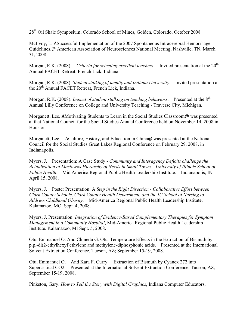28th Oil Shale Symposium, Colorado School of Mines, Golden, Colorado, October 2008.

McIlvoy, L. ASuccessful Implementation of the 2007 Spontaneous Intracerebral Hemorrhage Guidelines.@ American Association of Neurosciences National Meeting, Nashville, TN, March 31, 2008.

Morgan, R.K. (2008). *Criteria for selecting excellent teachers*. Invited presentation at the 20<sup>th</sup> Annual FACET Retreat, French Lick, Indiana.

Morgan, R.K. (2008). *Student stalking of faculty and Indiana University*. Invited presentation at the 20<sup>th</sup> Annual FACET Retreat, French Lick, Indiana.

Morgan, R.K. (2008). *Impact of student stalking on teaching behaviors*. Presented at the 8<sup>th</sup> Annual Lilly Conference on College and University Teaching - Traverse City, Michigan.

Morganett, Lee. AMotivating Students to Learn in the Social Studies Classroom@ was presented at that National Council for the Social Studies Annual Conference held on November 14, 2008 in Houston.

Morganett, Lee. ACulture, History, and Education in China@ was presented at the National Council for the Social Studies Great Lakes Regional Conference on February 29, 2008, in Indianapolis.

Myers, J. Presentation: A Case Study - *Community and Interagency Deficits challenge the Actualization of Maslow=s Hierarchy of Needs in Small Towns - University of Illinois School of Public Health*. Mid America Regional Public Health Leadership Institute. Indianapolis, IN April 15, 2008.

Myers, J. Poster Presentation: A *Step in the Right Direction - Collaborative Effort between Clark County Schools, Clark County Health Department, and the IU School of Nursing to Address Childhood Obesity*. Mid-America Regional Public Health Leadership Institute. Kalamazoo, MO. Sept. 4, 2008.

Myers, J. Presentation: *Integration of Evidence-Based Complementary Therapies for Symptom Management in a Community Hospital*, Mid-America Regional Public Health Leadership Institute. Kalamazoo, MI Sept. 5, 2008.

Otu, Emmanuel O. And Chinedu G. Otu. Temperature Effects in the Extraction of Bismuth by p.p.-di(2-ethylhexyl)ethylene and methylene-diphosphonic acids. Presented at the International Solvent Extraction Conference, Tucson, AZ; September 15-19, 2008.

Otu, Emmanuel O. And Kara F. Curry. Extraction of Bismuth by Cyanex 272 into Supercritical CO2. Presented at the International Solvent Extraction Conference, Tucson, AZ; September 15-19, 2008.

Pinkston, Gary. *How to Tell the Story with Digital Graphics*, Indiana Computer Educators,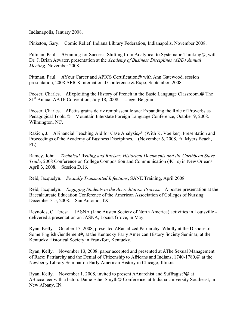Indianapolis, January 2008.

Pinkston, Gary. Comic Relief, Indiana Library Federation, Indianapolis, November 2008.

Pittman, Paul. AFraming for Success: Shifting from Analytical to Systematic Thinking@, with Dr. J. Brian Atwater, presentation at the *Academy of Business Disciplines (ABD) Annual Meeting*, November 2008.

Pittman, Paul. AYour Career and APICS Certification@ with Ann Gatewood, session presentation, 2008 APICS International Conference & Expo, September, 2008.

Pooser, Charles. AExploiting the History of French in the Basic Language Classroom.@ The 81<sup>st</sup> Annual AATF Convention, July 18, 2008. Liege, Belgium.

Pooser, Charles. APetits grains de riz remplissent le sac: Expanding the Role of Proverbs as Pedagogical Tools.@ Mountain Interstate Foreign Language Conference, October 9, 2008. Wilmington, NC.

Rakich, J. AFinancial Teaching Aid for Case Analysis,@ (With K. Voelker), Presentation and Proceedings of the Academy of Business Disciplines. (November 6, 2008, Ft. Myers Beach, FL).

Ramey, John. *Technical Writing and Racism: Historical Documents and the Caribbean Slave Trade*, 2008 Conference on College Composition and Communication (4C=s) in New Orleans. April 3, 2008. Session D.16.

Reid, Jacquelyn. *Sexually Transmitted Infections*, SANE Training, April 2008.

Reid, Jacquelyn. *Engaging Students in the Accreditation Process.* A poster presentation at the Baccalaureate Education Conference of the American Association of Colleges of Nursing. December 3-5, 2008. San Antonio, TX.

Reynolds, C. Teresa. JASNA (Jane Austen Society of North America) activities in Louisville delivered a presentation on JASNA, Locust Grove, in May.

Ryan, Kelly. October 17, 2008, presented ARacialized Patriarchy: Wholly at the Dispose of Some English Gentlemen@, at the Kentucky Early American History Society Seminar, at the Kentucky Historical Society in Frankfort, Kentucky.

Ryan, Kelly. November 13, 2008, paper accepted and presented at AThe Sexual Management of Race: Patriarchy and the Denial of Citizenship to Africans and Indians, 1740-1780,@ at the Newberry Library Seminar on Early American History in Chicago, Illinois.

Ryan, Kelly. November 1, 2008, invited to present AAnarchist and Suffragist?@ at ABuccaneer with a baton: Dame Ethel Smyth@ Conference, at Indiana University Southeast, in New Albany, IN.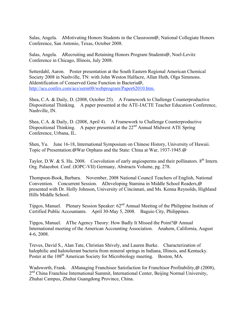Salas, Angela. AMotivating Honors Students in the Classroom@, National Collegiate Honors Conference, San Antonio, Texas, October 2008.

Salas, Angela. ARecruiting and Retaining Honors Program Students@, Noel-Levitz Conference in Chicago, Illinois, July 2008.

Setterdahl, Aaron. Poster presentation at the South Eastern Regional American Chemical Society 2008 in Nashville, TN: with John Weston Halfacre, Allan Huth, Olga Simmons. AIdentification of Conserved Gene Function in Bacteria@, http://acs.confex.com/acs/serm08/webprogram/Paper62010.htm.

Shea, C.A. & Daily, D. (2008, October 25). A Framework to Challenge Counterproductive Dispositional Thinking. A paper presented at the ATE-IACTE Teacher Education Conference, Nashville, IN.

Shea, C.A. & Daily, D. (2008, April 4). A Framework to Challenge Counterproductive Dispositional Thinking. A paper presented at the 22<sup>nd</sup> Annual Midwest ATE Spring Conference, Urbana, IL.

Shen, Yu. June 16-18, International Symposium on Chinese History, University of Hawaii. Topic of Presentation:@War Orphans and the State: China at War, 1937-1945.@

Taylor, D.W. & S. Hu. 2008. Coevolution of early angiosperms and their pollinators.  $8<sup>th</sup>$  Intern. Org. Palaeobot. Conf. (IOPC-VII) Germany, Abstracts Volume, pg. 278.

Thompson-Book, Barbara. November, 2008 National Council Teachers of English, National Convention. Concurrent Session. ADeveloping Stamina in Middle School Readers,@ presented with Dr. Holly Johnson, University of Cincinnati, and Ms. Kenna Reynolds, Highland Hills Middle School.

Tipgos, Manuel. Plenary Session Speaker:  $62<sup>nd</sup>$  Annual Meeting of the Philippine Institute of Certified Public Accountants. April 30-May 5, 2008. Baguio City, Philippines.

Tipgos, Manuel. AThe Agency Theory: How Badly It Missed the Point?@ Annual International meeting of the American Accounting Association. Anahem, California, August 4-6, 2008.

Treves, David S., Alan Tate, Christian Shively, and Lauren Burke. Characterization of halophilic and halotolerant bacteria from mineral springs in Indiana, Illinois, and Kentucky. Poster at the 108<sup>th</sup> American Society for Microbiology meeting. Boston, MA.

Wadsworth, Frank. AManaging Franchisee Satisfaction for Franchisor Profitability,@ (2008), 2<sup>nd</sup> China Franchise International Summit, International Center, Beijing Normal University, Zhuhai Campus, Zhuhai Guangdong Province, China.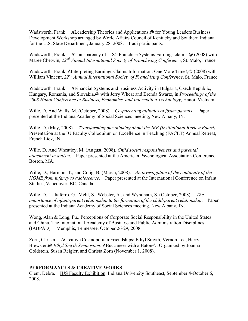Wadsworth, Frank. ALeadership Theories and Applications,@ for Young Leaders Business Development Workshop arranged by World Affairs Council of Kentucky and Southern Indiana for the U.S. State Department, January 28, 2008. Iraqi participants.

Wadsworth, Frank. ATransparency of U.S> Franchise Systems Earnings claims, @ (2008) with Maree Chetwin, *22nd Annual International Society of Franchising Conference*, St. Malo, France.

Wadsworth, Frank. AInterpreting Earnings Claims Information: One More Time!,@ (2008) with William Vincent, 22<sup>nd</sup> Annual International Society of Franchising Conference, St. Malo, France.

Wadsworth, Frank. AFinancial Systems and Business Activity in Bulgaria, Czech Republic, Hungary, Romania, and Slovakia,@ with Jerry Wheat and Brenda Swartz, in *Proceedings of the 2008 Hanoi Conference in Business, Economics, and Information Technology*, Hanoi, Vietnam.

Wille, D. And Walls, M. (October, 2008). *Co-parenting attitudes of foster parents*. Paper presented at the Indiana Academy of Social Sciences meeting, New Albany, IN.

Wille, D. (May, 2008). *Transforming our thinking about the IRB (Institutional Review Board)*. Presentation at the IU Faculty Colloquium on Excellence in Teaching (FACET) Annual Retreat, French Lick, IN.

Wille, D. And Wheatley, M. (August, 2008). *Child social responsiveness and parental attachment in autism*. Paper presented at the American Psychological Association Conference, Boston, MA.

Wille, D., Harmon, T., and Craig, B. (March, 2008). *An investigation of the continuity of the HOME from infancy to adolescence*. Paper presented at the International Conference on Infant Studies, Vancouver, BC, Canada.

Wille, D., Taliaferro, G., Mehl, S., Webster, A., and Wyndham, S. (October, 2008). *The importance of infant-parent relationship to the formation of the child-parent relationship*. Paper presented at the Indiana Academy of Social Sciences meeting, New Albany, IN.

Wong, Alan & Long, Fu.. Perceptions of Corporate Social Responsibility in the United States and China, The International Academy of Business and Public Administration Disciplines (IABPAD). Memphis, Tennessee, October 26-29, 2008.

Zorn, Christa. ACreative Cosmopolitan Friendships: Ethyl Smyth, Vernon Lee, Harry Brewster.@ *Ethyl Smyth Symposium*: ABuccaneer with a Baton@, Organized by Joanna Goldstein, Susan Reigler, and Christa Zorn (November 1, 2008).

## **PERFORMANCES & CREATIVE WORKS**

Clem, Debra. IUS Faculty Exhibition, Indiana University Southeast, September 4-October 6, 2008.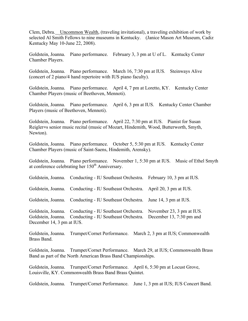Clem, Debra. Uncommon Wealth, (traveling invitational), a traveling exhibition of work by selected Al Smith Fellows to nine museums in Kentucky. (Janice Mason Art Museum, Cadiz Kentucky May 10-June 22, 2008).

Goldstein, Joanna. Piano performance. February 3, 3 pm at U of L. Kentucky Center Chamber Players.

Goldstein, Joanna. Piano performance. March 16, 7:30 pm at IUS. Steinways Alive (concert of 2 piano/4 hand repertoire with IUS piano faculty).

Goldstein, Joanna. Piano performance. April 4, 7 pm at Loretto, KY. Kentucky Center Chamber Players (music of Beethoven, Mennoti).

Goldstein, Joanna. Piano performance. April 6, 3 pm at IUS. Kentucky Center Chamber Players (music of Beethoven, Mennoti).

Goldstein, Joanna. Piano performance. April 22, 7:30 pm at IUS. Pianist for Susan Reigler=s senior music recital (music of Mozart, Hindemith, Wood, Butterworth, Smyth, Newton).

Goldstein, Joanna. Piano performance. October 5, 5:30 pm at IUS. Kentucky Center Chamber Players (music of Saint-Saens, Hindemith, Arensky).

Goldstein, Joanna. Piano performance. November 1, 5:30 pm at IUS. Music of Ethel Smyth at conference celebrating her 150<sup>th</sup> Anniversary.

Goldstein, Joanna. Conducting - IU Southeast Orchestra. February 10, 3 pm at IUS.

Goldstein, Joanna. Conducting - IU Southeast Orchestra. April 20, 3 pm at IUS.

Goldstein, Joanna. Conducting - IU Southeast Orchestra. June 14, 3 pm at IUS.

Goldstein, Joanna. Conducting - IU Southeast Orchestra. November 23, 3 pm at IUS. Goldstein, Joanna. Conducting - IU Southeast Orchestra. December 13, 7:30 pm and December 14, 3 pm at IUS.

Goldstein, Joanna. Trumpet/Cornet Performance. March 2, 3 pm at IUS; Commonwealth Brass Band.

Goldstein, Joanna. Trumpet/Cornet Performance. March 29, at IUS; Commonwealth Brass Band as part of the North American Brass Band Championships.

Goldstein, Joanna. Trumpet/Cornet Performance. April 6, 5:30 pm at Locust Grove, Louisville, KY. Commonwealth Brass Band Brass Quintet.

Goldstein, Joanna. Trumpet/Cornet Performance. June 1, 3 pm at IUS; IUS Concert Band.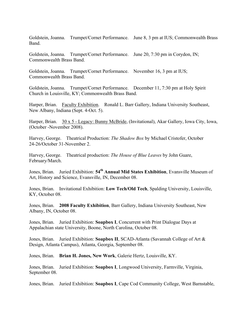Goldstein, Joanna. Trumpet/Cornet Performance. June 8, 3 pm at IUS; Commonwealth Brass Band.

Goldstein, Joanna. Trumpet/Cornet Performance. June 20, 7:30 pm in Corydon, IN; Commonwealth Brass Band.

Goldstein, Joanna. Trumpet/Cornet Performance. November 16, 3 pm at IUS; Commonwealth Brass Band.

Goldstein, Joanna. Trumpet/Cornet Performance. December 11, 7:30 pm at Holy Spirit Church in Louisville, KY; Commonwealth Brass Band.

Harper, Brian. Faculty Exhibition. Ronald L. Barr Gallery, Indiana University Southeast, New Albany, Indiana (Sept. 4-Oct. 5).

Harper, Brian. 30 x 5 - Legacy: Bunny McBride, (Invitational), Akar Gallery, Iowa City, Iowa, (October -November 2008).

Harvey, George. Theatrical Production: *The Shadow Box* by Michael Cristofer, October 24-26/October 31-November 2.

Harvey, George. Theatrical production: *The House of Blue Leaves* by John Guare, February/March.

Jones, Brian. Juried Exhibition: 54<sup>th</sup> Annual Mid States Exhibition, Evansville Museum of Art, History and Science, Evansville, IN, December 08.

Jones, Brian. Invitational Exhibition: **Low Tech/Old Tech**, Spalding University, Louisville, KY, October 08.

Jones, Brian. **2008 Faculty Exhibition**, Barr Gallery, Indiana University Southeast, New Albany, IN, October 08.

Jones, Brian. Juried Exhibition: **Soapbox I**, Concurrent with Print Dialogue Days at Appalachian state University, Boone, North Carolina, October 08.

Jones, Brian. Juried Exhibition: **Soapbox II**, SCAD-Atlanta (Savannah College of Art & Design, Atlanta Campus), Atlanta, Georgia, September 08.

Jones, Brian. **Brian H. Jones, New Work**, Galerie Hertz, Louisville, KY.

Jones, Brian. Juried Exhibition: **Soapbox I**, Longwood University, Farmville, Virginia, September 08.

Jones, Brian. Juried Exhibition: **Soapbox I**, Cape Cod Community College, West Barnstable,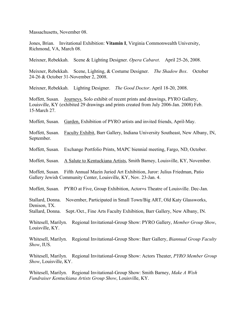Massachusetts, November 08.

Jones, Brian. Invitational Exhibition: **Vitamin I**, Virginia Commonwealth University, Richmond, VA, March 08.

Meixner, Rebekkah. Scene & Lighting Designer. *Opera Cabaret*. April 25-26, 2008.

Meixner, Rebekkah. Scene, Lighting, & Costume Designer. *The Shadow Box*. October 24-26 & October 31-November 2, 2008.

Meixner, Rebekkah. Lighting Designer. *The Good Doctor*. April 18-20, 2008.

Moffett, Susan. Journeys, Solo exhibit of recent prints and drawings, PYRO Gallery, Louisville, KY (exhibited 29 drawings and prints created from July 2006-Jan. 2008) Feb. 15-March 27.

Moffett, Susan. Garden, Exhibition of PYRO artists and invited friends, April-May.

Moffett, Susan. Faculty Exhibit, Barr Gallery, Indiana University Southeast, New Albany, IN, September.

Moffett, Susan. Exchange Portfolio Prints, MAPC biennial meeting, Fargo, ND, October.

Moffett, Susan. A Salute to Kentuckiana Artists, Smith Barney, Louisville, KY, November.

Moffett, Susan. Fifth Annual Mazin Juried Art Exhibition, Juror: Julius Friedman, Patio Gallery Jewish Community Center, Louisville, KY, Nov. 23-Jan. 4.

Moffett, Susan. PYRO at Five, Group Exhibition, Actor=s Theatre of Louisville. Dec-Jan.

Stallard, Donna. November, Participated in Small Town/Big ART, Old Katy Glassworks, Denison, TX.

Stallard, Donna. Sept./Oct., Fine Arts Faculty Exhibition, Barr Gallery, New Albany, IN.

Whitesell, Marilyn. Regional Invitational-Group Show: PYRO Gallery, *Member Group Show*, Louisville, KY.

Whitesell, Marilyn. Regional Invitational-Group Show: Barr Gallery, *Biannual Group Faculty Show*, IUS.

Whitesell, Marilyn. Regional Invitational-Group Show: Actors Theater, *PYRO Member Group Show*, Louisville, KY.

Whitesell, Marilyn. Regional Invitational-Group Show: Smith Barney, *Make A Wish Fundraiser Kentuckiana Artists Group Show*, Louisville, KY.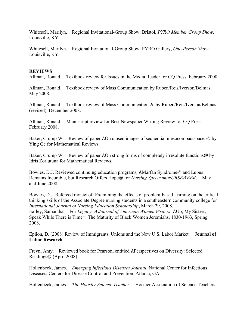Whitesell, Marilyn. Regional Invitational-Group Show: Bristol, *PYRO Member Group Show*, Louisville, KY.

Whitesell, Marilyn. Regional Invitational-Group Show: PYRO Gallery, *One-Person Show*, Louisville, KY.

#### **REVIEWS**

Allman, Ronald. Textbook review for Issues in the Media Reader for CQ Press, February 2008.

Allman, Ronald. Textbook review of Mass Communication by Ruben/Reis/Iverson/Belmas, May 2008.

Allman, Ronald. Textbook review of Mass Communication 2e by Ruben/Reis/Iverson/Belmas (revised), December 2008.

Allman, Ronald. Manuscript review for Best Newspaper Writing Review for CQ Press, February 2008.

Baker, Crump W. Review of paper AOn closed images of sequential mesocompactspaces@ by Ying Ge for Mathematical Reviews.

Baker, Crump W. Review of paper AOn strong forms of completely irresolute functions@ by Idris Zorlutuna for Mathematical Reviews.

Bowles, D.J. Reviewed continuing education programs, AMarfan Syndrome@ and Lupus Remains Incurable, but Research Offers Hope@ for *Nursing Spectrum/NURSEWEEK*. May and June 2008.

Bowles, D.J. Refereed review of: Examining the effects of problem-based learning on the critical thinking skills of the Associate Degree nursing students in a southeastern community college for *International Journal of Nursing Education Scholarship*, March 29, 2008. Earley, Samantha. For *Legacy: A Journal of American Women Writers*: AUp, My Sisters, Speak While There is Time=: The Maturity of Black Women Jeremiahs, 1830-1963, Spring 2008.

Eplion, D. (2008) Review of Immigrants, Unions and the New U.S. Labor Market. **Journal of Labor Research**.

Freyn, Amy. Reviewed book for Pearson, entitled APerspectives on Diversity: Selected Readings@ (April 2008).

Hollenbeck, James. *Emerging Infectious Diseases Journal*. National Center for Infectious Diseases, Centers for Disease Control and Prevention. Atlanta, GA.

Hollenbeck, James. *The Hoosier Science Teacher*. Hoosier Association of Science Teachers,